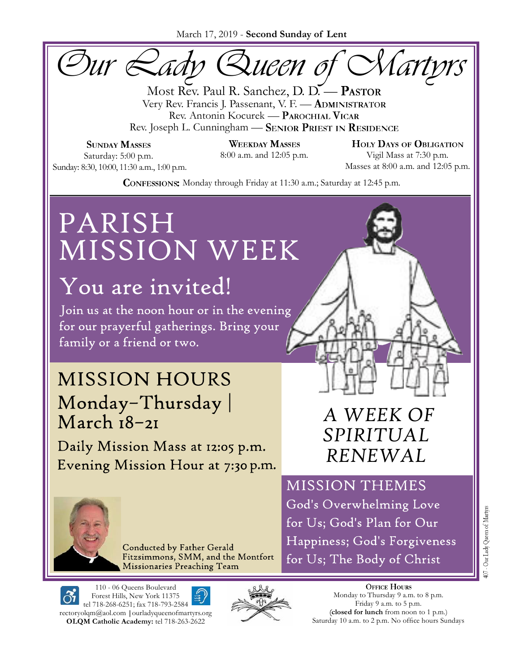March 17, 2019 - **Second Sunday of Lent**

*Our Lady Queen of Martyrs*

Most Rev. Paul R. Sanchez, D. D. - PASTOR<br>Very Rev. Francis J. Passenant, V. F. - ADMINISTRATOR Rev. Antonin Kocurek — PAROCHIAL VICAR Rev. Joseph L. Cunningham - SENIOR PRIEST IN RESIDENCE

**SUNDAY MASSES** Saturday: 5:00 p.m. Sunday: 8:30, 10:00, 11:30 a.m., 1:00 p.m. **WEEKDAY MASSES** 

**HOLY DAYS OF OBLIGATION** 8:00 a.m. and 12:05 p.m. Vigil Mass at 7:30 p.m. Masses at 8:00 a.m. and 12:05 p.m.

**CONFESSIONS:** Monday through Friday at 11:30 a.m.; Saturday at 12:45 p.m.

# PARISH MISSION WEEK

# **You are invited!**<br>Join us at the noon hour or in the evening

for our prayerful gatherings. Bring your family or a friend or two.

## **MISSION HOURS** Monday-Thursday March 18-21

Daily Mission Mass at 12:05 p.m. Evening Mission Hour at 7:30 p.m.

**Conducted by Father Gerald** Fitzsimmons, SMM, and the Montfort Missionaries Preaching Team

#### 110 - 06 Queens Boulevard Forest Hills, New York 11375 tel 718-268-6251; fax 718-793-2584 rectoryolqm@aol.com **|**ourladyqueenofmartyrs.org **OLQM Catholic Academy:** tel 718-263-2622



## *A WEEK OF SPIRITUAL RENEWAL*

**MISSION THEMES** God's Overwhelming Love

for Us; God's Plan for Our Happiness; God's Forgiveness for Us; The Body of Christ

> **OFFICE HOURS** Monday to Thursday 9 a.m. to 8 p.m. Friday 9 a.m. to 5 p.m. **closed for lunch** from noon to 1 p.m.) Saturday 10 a.m. to 2 p.m. No office hours Sundays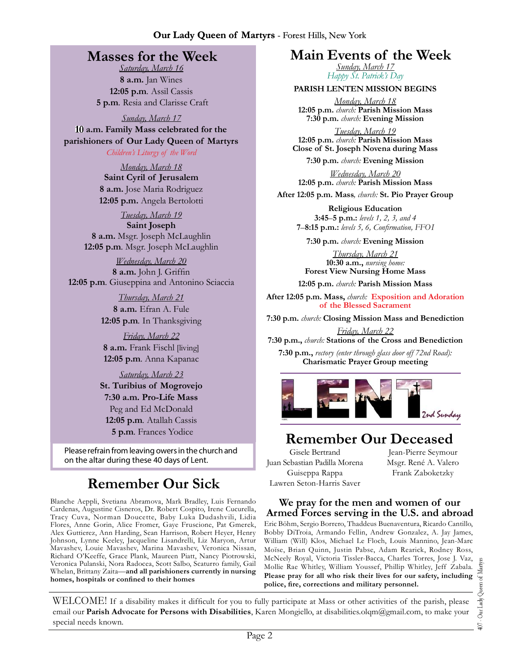### **Masses for the Week**

*Saturday, March 16* **8 a.m.** Jan Wines **12:05 p.m***.* Assil Cassis **5 p.m***.* Resia and Clarisse Craft

*Sunday, March 17* **a.m. Family Mass celebrated for the parishioners of Our Lady Queen of Martyrs**

*Children's Liturgy of the Word* 

*Monday, March 18* **Saint Cyril of Jerusalem 8 a.m.** Jose Maria Rodriguez **12:05 p.m.** Angela Bertolotti

*Tuesday, March 19*

**Saint Joseph 8 a.m.** Msgr. Joseph McLaughlin **12:05 p.m***.* Msgr. Joseph McLaughlin

*Wednesday, March 20* 8 a.m. John J. Griffin **12:05 p.m***.* Giuseppina and Antonino Sciaccia

> *Thursday, March 21* **8 a.m.** Efran A. Fule **12:05 p.m***.* In Thanksgiving

*Friday, March 22* **8 a.m.** Frank Fischl [living] **12:05 p.m***.* Anna Kapanac

*Saturday, March 23* **St. Turibius of Mogrovejo 7:30 a.m. Pro-Life Mass** Peg and Ed McDonald **12:05 p.m***.* Atallah Cassis **5 p.m***.* Frances Yodice

Please refrain from leaving owers in the church and on the altar during these 40 days of Lent.

### **Remember Our Sick**

Blanche Aeppli, Svetiana Abramova, Mark Bradley, Luis Fernando Cardenas, Augustine Cisneros, Dr. Robert Cospito, Irene Cucurella, Tracy Cuva, Norman Doucette, Baby Luka Dudashvili, Lidia Flores, Anne Gorin, Alice Fromer, Gaye Fruscione, Pat Gmerek, Alex Guttierez, Ann Harding, Sean Harrison, Robert Heyer, Henry Johnson, Lynne Keeley, Jacqueline Lisandrelli, Liz Maryon, Artur Mavashev, Louie Mavashev, Marina Mavashev, Veronica Nissan, Richard O'Keeffe, Grace Plank, Maureen Piatt, Nancy Piotrowski, Veronica Pulanski, Nora Radocea, Scott Salbo, Scaturro family, Gail Whelan, Brittany Zaita—**and all parishioners currently in nursing**  homes, hospitals or confined to their homes

### **Main Events of the Week**

*Sunday, March 17 Happy St. Patrick's Day*

**PARISH LENTEN MISSION BEGINS**

*Monday, March 18* **12:05 p.m.** *church:* **Parish Mission Mass 7:30 p.m.** *church:* **Evening Mission**

*Tuesday, March 19* **12:05 p.m.** *church:* **Parish Mission Mass Close of St. Joseph Novena during Mass**

**7:30 p.m.** *church:* **Evening Mission**

*Wednesday, March 20* **12:05 p.m.** *church:* **Parish Mission Mass**

**After 12:05 p.m. Mass***, church:* **St. Pio Prayer Group**

**Religious Education 3:45**–**5 p.m.:** *levels 1, 2, 3, and 4*  **7**–**8:15 p.m.:** *levels 5, 6, Confi rmation, FFO I*

**7:30 p.m.** *church:* **Evening Mission**

*Thursday, March 21* **10:30 a.m.,** *nursing home:*  **Forest View Nursing Home Mass**

**12:05 p.m.** *church:* **Parish Mission Mass**

**After 12:05 p.m. Mass,** *church:* **Exposition and Adoration of the Blessed Sacrament**

**7:30 p.m.** *church:* **Closing Mission Mass and Benediction**

*Friday, March 22* **7:30 p.m.,** *church:* **Stations of the Cross and Benediction**

**7:30 p.m.,** *rectory (enter through glass door off 72nd Road):* **Charismatic Prayer Group meeting**



### **Remember Our Deceased**

Gisele Bertrand Juan Sebastian Padilla Morena Guiseppa Rappa Lawren Seton-Harris Saver

Jean-Pierre Seymour Msgr. René A. Valero Frank Zaboketzky

#### **We pray for the men and women of our Armed Forces serving in the U.S. and abroad**

Eric Böhm, Sergio Borrero, Thaddeus Buenaventura, Ricardo Cantillo, Bobby DiTroia, Armando Fellin, Andrew Gonzalez, A. Jay James, William (Will) Klos, Michael Le Floch, Louis Mannino, Jean-Marc Moïse, Brian Quinn, Justin Pabse, Adam Rearick, Rodney Ross, McNeely Royal, Victoria Tissler-Bacca, Charles Torres, Jose J. Vaz, Mollie Rae Whitley, William Youssef, Phillip Whitley, Jeff Zabala. **Please pray for all who risk their lives for our safety, including police, fi re, corrections and military personnel.**

WELCOME! If a disability makes it difficult for you to fully participate at Mass or other activities of the parish, please email our **Parish Advocate for Persons with Disabilities**, Karen Mongiello, at disabilities.olqm@gmail.com, to make your special needs known.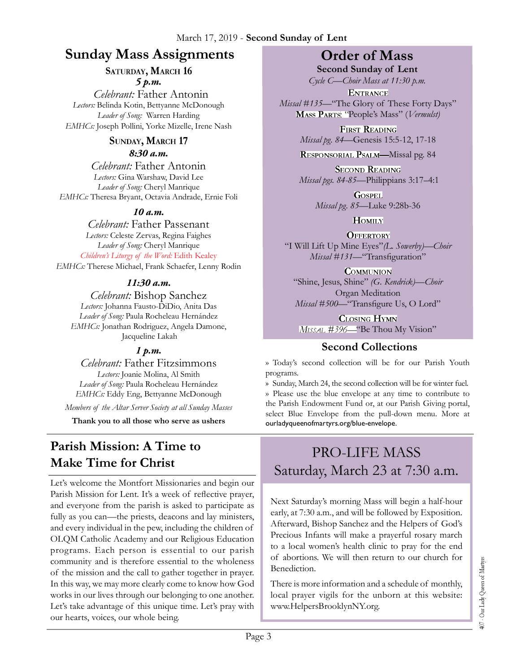### **Sunday Mass Assignments Order of Mass**

#### **SATURDAY, MARCH 16** *5 p.m.*

*Celebrant:* Father Antonin *Lectors:* Belinda Kotin, Bettyanne McDonough *Leader of Song:* Warren Harding *EMHCs:* Joseph Pollini, Yorke Mizelle, Irene Nash

### **SUNDAY, MARCH 17**

*8:30 a.m.* 

*Celebrant:* Father Antonin *Lectors:* Gina Warshaw, David Lee *Leader of Song:* Cheryl Manrique *EMHCs:* Theresa Bryant, Octavia Andrade, Ernie Foli

#### *10 a.m.*

*Celebrant:* Father Passenant *Lectors:* Celeste Zervas, Regina Faighes *Leader of Song:* Cheryl Manrique *Children's Liturgy of the Word:* Edith Kealey *EMHCs:* Therese Michael, Frank Schaefer, Lenny Rodin

#### *11:30 a.m.*

*Celebrant:* Bishop Sanchez *Lectors:* Johanna Fausto-DiDio, Anita Das *Leader of Song:* Paula Rocheleau Hernández *EMHCs:* Jonathan Rodriguez, Angela Damone, Jacqueline Lakah

### *1 p.m.*

*Celebrant:* Father Fitzsimmons *Lectors:* Joanie Molina, Al Smith *Leader of Song:* Paula Rocheleau Hernández *EMHCs:* Eddy Eng, Bettyanne McDonough

*Members of the Altar Server Society at all Sunday Masses*

**Thank you to all those who serve as ushers**

### **Parish Mission: A Time to Make Time for Christ**

Let's welcome the Montfort Missionaries and begin our Parish Mission for Lent. It's a week of reflective prayer, and everyone from the parish is asked to participate as fully as you can—the priests, deacons and lay ministers, and every individual in the pew, including the children of OLQM Catholic Academy and our Religious Education programs. Each person is essential to our parish community and is therefore essential to the wholeness of the mission and the call to gather together in prayer. In this way, we may more clearly come to know how God works in our lives through our belonging to one another. Let's take advantage of this unique time. Let's pray with our hearts, voices, our whole being.

**Second Sunday of Lent** *Cycle C—Choir Mass at 11:30 p.m.* 

**ENTRANCE** *Missal #135—*"The Glory of These Forty Days" People's Mass" (*Vermulst)*

> **FIRST READING** *Missal pg. 84—*Genesis 15:5-12, 17-18

> RESPONSORIAL PSALM-Missal pg. 84

**SECOND READING** *Missal pgs. 84-85—*Philippians 3:17–4:1

> **GOSPEL** *Missal pg. 85—*Luke 9:28b-36

> > **HOMILY**

**OFFERTORY** "I Will Lift Up Mine Eyes"*(L. Sowerby)—Choir Missal* #131<sup>*-*</sup>Transfiguration"</sup>

**COMMUNION** "Shine, Jesus, Shine" *(G. Kendrick)—Choir* Organ Meditation *Missal* #500<sup>*-*</sup>"Transfigure Us, O Lord"

**CLOSING HYMN** MISSAL #396—"Be Thou My Vision"

### **Second Collections**

›› Today's second collection will be for our Parish Youth programs.

›› Sunday, March 24, the second collection will be for winter fuel. ›› Please use the blue envelope at any time to contribute to the Parish Endowment Fund or, at our Parish Giving portal, select Blue Envelope from the pull-down menu. More at ourladyqueenofmartyrs.org/blue-envelope.

### PRO-LIFE MASS Saturday, March 23 at 7:30 a.m.

Next Saturday's morning Mass will begin a half-hour early, at 7:30 a.m., and will be followed by Exposition. Afterward, Bishop Sanchez and the Helpers of God's Precious Infants will make a prayerful rosary march to a local women's health clinic to pray for the end of abortions. We will then return to our church for Benediction.

There is more information and a schedule of monthly, local prayer vigils for the unborn at this website: www.HelpersBrooklynNY.org.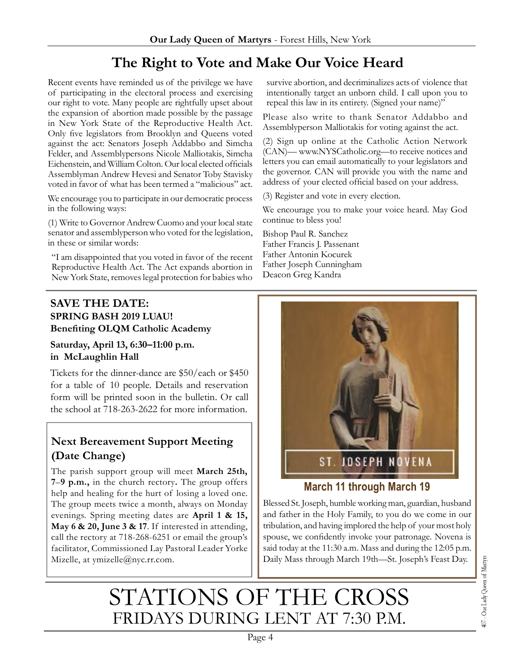### **The Right to Vote and Make Our Voice Heard**

Recent events have reminded us of the privilege we have of participating in the electoral process and exercising our right to vote. Many people are rightfully upset about the expansion of abortion made possible by the passage in New York State of the Reproductive Health Act. Only five legislators from Brooklyn and Queens voted against the act: Senators Joseph Addabbo and Simcha Felder, and Assemblypersons Nicole Malliotakis, Simcha Eichenstein, and William Colton. Our local elected officials Assemblyman Andrew Hevesi and Senator Toby Stavisky voted in favor of what has been termed a "malicious" act.

We encourage you to participate in our democratic process in the following ways:

(1) Write to Governor Andrew Cuomo and your local state senator and assemblyperson who voted for the legislation, in these or similar words:

"I am disappointed that you voted in favor of the recent Reproductive Health Act. The Act expands abortion in New York State, removes legal protection for babies who

**SAVE THE DATE: SPRING BASH 2019 LUAU! Benefi ting OLQM Catholic Academy** 

#### **Saturday, April 13, 6:30–11:00 p.m. in McLaughlin Hall**

Tickets for the dinner-dance are \$50/each or \$450 for a table of 10 people. Details and reservation form will be printed soon in the bulletin. Or call the school at 718-263-2622 for more information.

### **Next Bereavement Support Meeting (Date Change)**

The parish support group will meet **March 25th, 7**–**9 p.m.,** in the church rectory**.** The group offers help and healing for the hurt of losing a loved one. The group meets twice a month, always on Monday evenings. Spring meeting dates are **April 1 & 15, May 6 & 20, June 3 & 17**. If interested in attending, call the rectory at 718-268-6251 or email the group's facilitator, Commissioned Lay Pastoral Leader Yorke Mizelle, at ymizelle@nyc.rr.com.



survive abortion, and decriminalizes acts of violence that intentionally target an unborn child. I call upon you to repeal this law in its entirety. (Signed your name)" Please also write to thank Senator Addabbo and Assemblyperson Malliotakis for voting against the act. (2) Sign up online at the Catholic Action Network (CAN)— www.NYSCatholic.org—to receive notices and letters you can email automatically to your legislators and the governor. CAN will provide you with the name and address of your elected official based on your address.

We encourage you to make your voice heard. May God

(3) Register and vote in every election.

continue to bless you! Bishop Paul R. Sanchez Father Francis J. Passenant Father Antonin Kocurek Father Joseph Cunningham Deacon Greg Kandra

### **March 11 through March 19**

Blessed St. Joseph, humble working man, guardian, husband and father in the Holy Family, to you do we come in our tribulation, and having implored the help of your most holy spouse, we confidently invoke your patronage. Novena is said today at the 11:30 a.m. Mass and during the 12:05 p.m. Daily Mass through March 19th—St. Joseph's Feast Day.

## STATIONS OF THE CROSS FRIDAYS DURING LENT AT 7:30 P.M.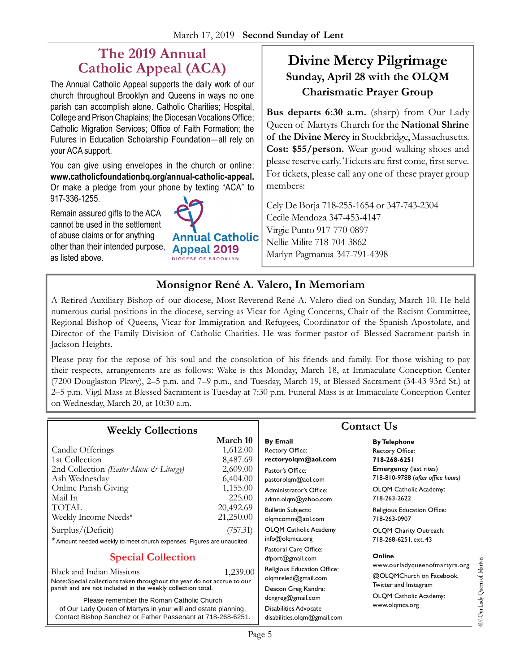### **The 2019 Annual Catholic Appeal (ACA)**

The Annual Catholic Appeal supports the daily work of our church throughout Brooklyn and Queens in ways no one parish can accomplish alone. Catholic Charities; Hospital, College and Prison Chaplains; the Diocesan Vocations Office; Catholic Migration Services; Office of Faith Formation; the Futures in Education Scholarship Foundation—all rely on your ACA support.

You can give using envelopes in the church or online: **www.catholicfoundationbq.org/annual-catholic-appeal.** Or make a pledge from your phone by texting "ACA" to 917-336-1255.

Remain assured gifts to the ACA cannot be used in the settlement of abuse claims or for anything other than their intended purpose, as listed above.



### **Divine Mercy Pilgrimage Sunday, April 28 with the OLQM Charismatic Prayer Group**

**Bus departs 6:30 a.m.** (sharp) from Our Lady Queen of Martyrs Church for the **National Shrine of the Divine Mercy** in Stockbridge, Massachusetts. **Cost: \$55/person.** Wear good walking shoes and please reserve early. Tickets are first come, first serve. For tickets, please call any one of these prayer group members:

Cely De Borja 718-255-1654 or 347-743-2304 Cecile Mendoza 347-453-4147 Virgie Punto 917-770-0897 Nellie Milite 718-704-3862 Marlyn Pagmanua 347-791-4398

407-Our Lady Queen of Martyns

### **Monsignor René A. Valero, In Memoriam**

A Retired Auxiliary Bishop of our diocese, Most Reverend René A. Valero died on Sunday, March 10. He held numerous curial positions in the diocese, serving as Vicar for Aging Concerns, Chair of the Racism Committee, Regional Bishop of Queens, Vicar for Immigration and Refugees, Coordinator of the Spanish Apostolate, and Director of the Family Division of Catholic Charities. He was former pastor of Blessed Sacrament parish in Jackson Heights.

Please pray for the repose of his soul and the consolation of his friends and family. For those wishing to pay their respects, arrangements are as follows: Wake is this Monday, March 18, at Immaculate Conception Center (7200 Douglaston Pkwy), 2–5 p.m. and 7–9 p.m., and Tuesday, March 19, at Blessed Sacrament (34-43 93rd St.) at 2–5 p.m. Vigil Mass at Blessed Sacrament is Tuesday at 7:30 p.m. Funeral Mass is at Immaculate Conception Center on Wednesday, March 20, at 10:30 a.m.

| <b>Weekly Collections</b>                                                                                                                                                  |                                              | <b>Contact Us</b>                                                                    |                                                                                                |
|----------------------------------------------------------------------------------------------------------------------------------------------------------------------------|----------------------------------------------|--------------------------------------------------------------------------------------|------------------------------------------------------------------------------------------------|
| Candle Offerings<br>1st Collection<br>2nd Collection (Easter Music & Liturgy)                                                                                              | March 10<br>1,612.00<br>8,487.69<br>2,609.00 | <b>By Email</b><br><b>Rectory Office:</b><br>rectoryolgm@aol.com<br>Pastor's Office: | <b>By Telephone</b><br><b>Rectory Office:</b><br>718-268-6251<br><b>Emergency</b> (last rites) |
| Ash Wednesday<br>Online Parish Giving<br>Mail In                                                                                                                           | 6,404.00<br>1,155.00<br>225.00               | pastorolgm@aol.com<br>Administrator's Office:<br>admn.olgm@yahoo.com                 | 718-810-9788 (after office hours)<br>OLQM Catholic Academy:<br>718-263-2622                    |
| TOTAL<br>Weekly Income Needs*                                                                                                                                              | 20,492.69<br>21,250.00                       | <b>Bulletin Subjects:</b><br>olgmcomm@aol.com                                        | Religious Education Office:<br>718-263-0907                                                    |
| Surplus/(Deficit)<br>(757.31)<br>* Amount needed weekly to meet church expenses. Figures are unaudited.                                                                    |                                              | OLQM Catholic Academy<br>info@olqmca.org                                             | OLQM Charity Outreach:<br>718-268-6251, ext. 43                                                |
| <b>Special Collection</b>                                                                                                                                                  |                                              | Pastoral Care Office:<br>dfport@gmail.com                                            | Online<br>www.ourladyqueenofmartyrs.org                                                        |
| Black and Indian Missions<br>Note: Special collections taken throughout the year do not accrue to our<br>parish and are not included in the weekly collection total.       | 1.239.00                                     | Religious Education Office:<br>olqmreled@gmail.com<br>Deacon Greg Kandra:            | @OLQMChurch on Facebook,<br>Twitter and Instagram                                              |
| Please remember the Roman Catholic Church<br>of Our Lady Queen of Martyrs in your will and estate planning.<br>Contact Bishop Sanchez or Father Passenant at 718-268-6251. |                                              | dcngreg@gmail.com<br>Disabilities Advocate<br>disabilities.olgm@gmail.com            | OLQM Catholic Academy:<br>www.olgmca.org                                                       |